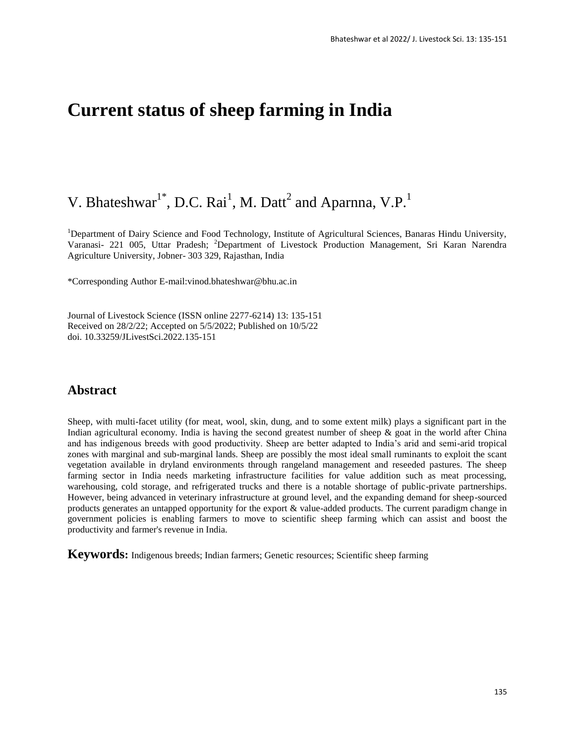# **Current status of sheep farming in India**

# V. Bhateshwar<sup>1\*</sup>, D.C. Rai<sup>1</sup>, M. Datt<sup>2</sup> and Aparnna, V.P.<sup>1</sup>

<sup>1</sup>Department of Dairy Science and Food Technology, Institute of Agricultural Sciences, Banaras Hindu University, Varanasi- 221 005, Uttar Pradesh; <sup>2</sup>Department of Livestock Production Management, Sri Karan Narendra Agriculture University, Jobner- 303 329, Rajasthan, India

\*Corresponding Author E-mail:vinod.bhateshwar@bhu.ac.in

Journal of Livestock Science (ISSN online 2277-6214) 13: 135-151 Received on 28/2/22; Accepted on 5/5/2022; Published on 10/5/22 doi. 10.33259/JLivestSci.2022.135-151

# **Abstract**

Sheep, with multi-facet utility (for meat, wool, skin, dung, and to some extent milk) plays a significant part in the Indian agricultural economy. India is having the second greatest number of sheep & goat in the world after China and has indigenous breeds with good productivity. Sheep are better adapted to India's arid and semi-arid tropical zones with marginal and sub-marginal lands. Sheep are possibly the most ideal small ruminants to exploit the scant vegetation available in dryland environments through rangeland management and reseeded pastures. The sheep farming sector in India needs marketing infrastructure facilities for value addition such as meat processing, warehousing, cold storage, and refrigerated trucks and there is a notable shortage of public-private partnerships. However, being advanced in veterinary infrastructure at ground level, and the expanding demand for sheep-sourced products generates an untapped opportunity for the export & value-added products. The current paradigm change in government policies is enabling farmers to move to scientific sheep farming which can assist and boost the productivity and farmer's revenue in India.

**Keywords:** Indigenous breeds; Indian farmers; Genetic resources; Scientific sheep farming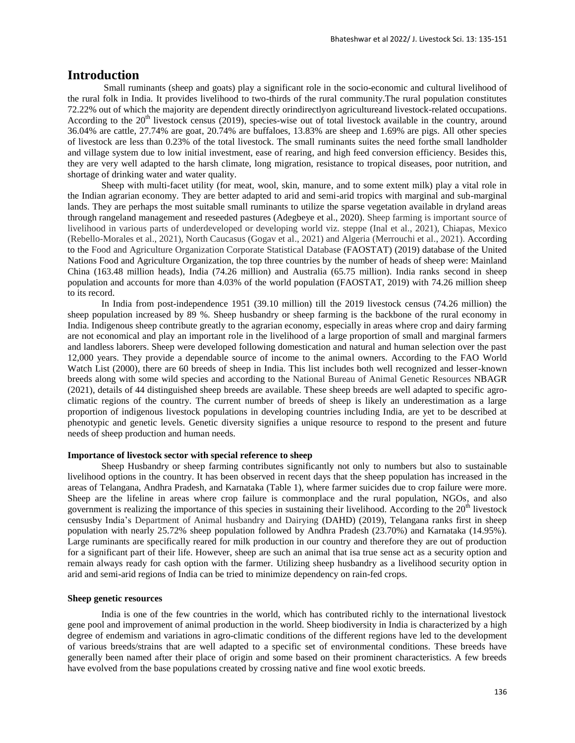# **Introduction**

Small ruminants (sheep and goats) play a significant role in the socio-economic and cultural livelihood of the rural folk in India. It provides livelihood to two-thirds of the rural community.The rural population constitutes 72.22% out of which the majority are dependent directly orindirectlyon agricultureand livestock-related occupations. According to the  $20<sup>th</sup>$  livestock census (2019), species-wise out of total livestock available in the country, around 36.04% are cattle, 27.74% are goat, 20.74% are buffaloes, 13.83% are sheep and 1.69% are pigs. All other species of livestock are less than 0.23% of the total livestock. The small ruminants suites the need forthe small landholder and village system due to low initial investment, ease of rearing, and high feed conversion efficiency. Besides this, they are very well adapted to the harsh climate, long migration, resistance to tropical diseases, poor nutrition, and shortage of drinking water and water quality.

Sheep with multi-facet utility (for meat, wool, skin, manure, and to some extent milk) play a vital role in the Indian agrarian economy. They are better adapted to arid and semi-arid tropics with marginal and sub-marginal lands. They are perhaps the most suitable small ruminants to utilize the sparse vegetation available in dryland areas through rangeland management and reseeded pastures (Adegbeye et al., 2020). Sheep farming is important source of livelihood in various parts of underdeveloped or developing world viz. steppe (Inal et al., 2021), Chiapas, Mexico (Rebello-Morales et al., 2021), North Caucasus (Gogav et al., 2021) and Algeria (Merrouchi et al., 2021). According to the Food and Agriculture Organization Corporate Statistical Database (FAOSTAT) (2019) database of the United Nations Food and Agriculture Organization, the top three countries by the number of heads of sheep were: Mainland China (163.48 million heads), India (74.26 million) and Australia (65.75 million). India ranks second in sheep population and accounts for more than 4.03% of the world population (FAOSTAT, 2019) with 74.26 million sheep to its record.

In India from post-independence 1951 (39.10 million) till the 2019 livestock census (74.26 million) the sheep population increased by 89 %. Sheep husbandry or sheep farming is the backbone of the rural economy in India. Indigenous sheep contribute greatly to the agrarian economy, especially in areas where crop and dairy farming are not economical and play an important role in the livelihood of a large proportion of small and marginal farmers and landless laborers. Sheep were developed following domestication and natural and human selection over the past 12,000 years. They provide a dependable source of income to the animal owners. According to the FAO World Watch List (2000), there are 60 breeds of sheep in India. This list includes both well recognized and lesser-known breeds along with some wild species and according to the National Bureau of Animal Genetic Resources NBAGR (2021), details of 44 distinguished sheep breeds are available. These sheep breeds are well adapted to specific agroclimatic regions of the country. The current number of breeds of sheep is likely an underestimation as a large proportion of indigenous livestock populations in developing countries including India, are yet to be described at phenotypic and genetic levels. Genetic diversity signifies a unique resource to respond to the present and future needs of sheep production and human needs.

### **Importance of livestock sector with special reference to sheep**

Sheep Husbandry or sheep farming contributes significantly not only to numbers but also to sustainable livelihood options in the country. It has been observed in recent days that the sheep population has increased in the areas of Telangana, Andhra Pradesh, and Karnataka (Table 1), where farmer suicides due to crop failure were more. Sheep are the lifeline in areas where crop failure is commonplace and the rural population, NGOs, and also government is realizing the importance of this species in sustaining their livelihood. According to the  $20<sup>th</sup>$  livestock censusby India's Department of Animal husbandry and Dairying (DAHD) (2019), Telangana ranks first in sheep population with nearly 25.72% sheep population followed by Andhra Pradesh (23.70%) and Karnataka (14.95%). Large ruminants are specifically reared for milk production in our country and therefore they are out of production for a significant part of their life. However, sheep are such an animal that isa true sense act as a security option and remain always ready for cash option with the farmer. Utilizing sheep husbandry as a livelihood security option in arid and semi-arid regions of India can be tried to minimize dependency on rain-fed crops.

#### **Sheep genetic resources**

India is one of the few countries in the world, which has contributed richly to the international livestock gene pool and improvement of animal production in the world. Sheep biodiversity in India is characterized by a high degree of endemism and variations in agro-climatic conditions of the different regions have led to the development of various breeds/strains that are well adapted to a specific set of environmental conditions. These breeds have generally been named after their place of origin and some based on their prominent characteristics. A few breeds have evolved from the base populations created by crossing native and fine wool exotic breeds.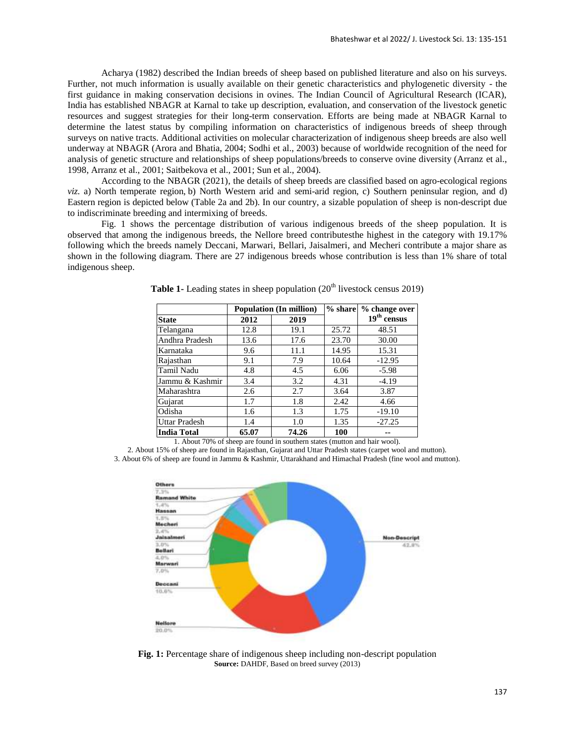Acharya (1982) described the Indian breeds of sheep based on published literature and also on his surveys. Further, not much information is usually available on their genetic characteristics and phylogenetic diversity - the first guidance in making conservation decisions in ovines. The Indian Council of Agricultural Research (ICAR), India has established NBAGR at Karnal to take up description, evaluation, and conservation of the livestock genetic resources and suggest strategies for their long-term conservation. Efforts are being made at NBAGR Karnal to determine the latest status by compiling information on characteristics of indigenous breeds of sheep through surveys on native tracts. Additional activities on molecular characterization of indigenous sheep breeds are also well underway at NBAGR (Arora and Bhatia, 2004; Sodhi et al., 2003) because of worldwide recognition of the need for analysis of genetic structure and relationships of sheep populations/breeds to conserve ovine diversity (Arranz et al., 1998, Arranz et al., 2001; Saitbekova et al., 2001; Sun et al., 2004).

According to the NBAGR (2021), the details of sheep breeds are classified based on agro-ecological regions *viz*. a) North temperate region, b) North Western arid and semi-arid region, c) Southern peninsular region, and d) Eastern region is depicted below (Table 2a and 2b). In our country, a sizable population of sheep is non-descript due to indiscriminate breeding and intermixing of breeds.

Fig. 1 shows the percentage distribution of various indigenous breeds of the sheep population. It is observed that among the indigenous breeds, the Nellore breed contributesthe highest in the category with 19.17% following which the breeds namely Deccani, Marwari, Bellari, Jaisalmeri, and Mecheri contribute a major share as shown in the following diagram. There are 27 indigenous breeds whose contribution is less than 1% share of total indigenous sheep.

|                                                                      | <b>Population (In million)</b> |                          | $%$ share | % change over             |
|----------------------------------------------------------------------|--------------------------------|--------------------------|-----------|---------------------------|
| <b>State</b>                                                         | 2012                           | 2019                     |           | $19th$ census             |
| Telangana                                                            | 12.8                           | 19.1                     | 25.72     | 48.51                     |
| Andhra Pradesh                                                       | 13.6                           | 17.6                     | 23.70     | 30.00                     |
| Karnataka                                                            | 9.6                            | 11.1                     | 14.95     | 15.31                     |
| Rajasthan                                                            | 9.1                            | 7.9                      | 10.64     | $-12.95$                  |
| Tamil Nadu                                                           | 4.8                            | 4.5                      | 6.06      | $-5.98$                   |
| Jammu & Kashmir                                                      | 3.4                            | 3.2                      | 4.31      | $-4.19$                   |
| Maharashtra                                                          | 2.6                            | 2.7                      | 3.64      | 3.87                      |
| Gujarat                                                              | 1.7                            | 1.8                      | 2.42      | 4.66                      |
| Odisha                                                               | 1.6                            | 1.3                      | 1.75      | $-19.10$                  |
| <b>Uttar Pradesh</b>                                                 | 1.4                            | 1.0                      | 1.35      | $-27.25$                  |
| <b>India Total</b><br>$\mathbf{A}$ and $\mathbf{A}$ and $\mathbf{A}$ | 65.07<br>$\sim$ $\sim$         | 74.26<br>$\cdot$ $\cdot$ | 100       | $\cdots$<br>$\rightarrow$ |

**Table 1-** Leading states in sheep population  $(20<sup>th</sup>$  livestock census 2019)

1. About 70% of sheep are found in southern states (mutton and hair wool).

2. About 15% of sheep are found in Rajasthan, Gujarat and Uttar Pradesh states (carpet wool and mutton). 3. About 6% of sheep are found in Jammu & Kashmir, Uttarakhand and Himachal Pradesh (fine wool and mutton).



**Fig. 1:** Percentage share of indigenous sheep including non-descript population **Source:** DAHDF, Based on breed survey (2013)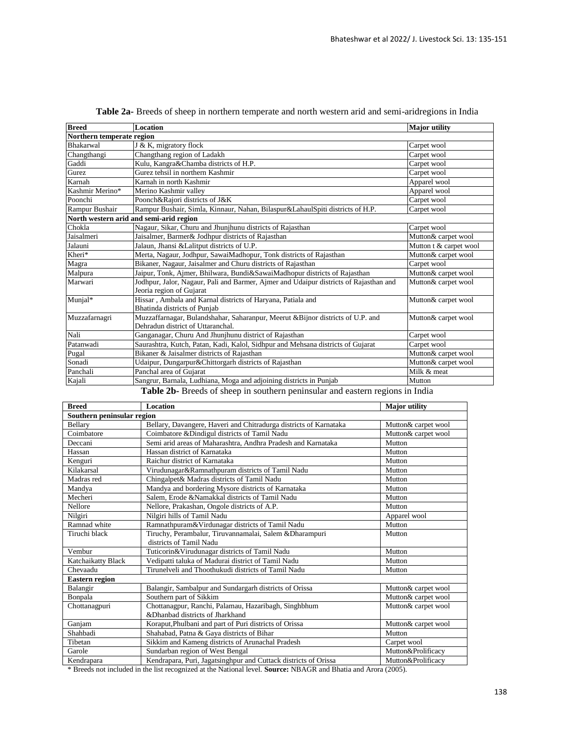| <b>Breed</b>                            | <b>Location</b>                                                                                                      | <b>Major</b> utility   |  |
|-----------------------------------------|----------------------------------------------------------------------------------------------------------------------|------------------------|--|
| Northern temperate region               |                                                                                                                      |                        |  |
| <b>Bhakarwal</b>                        | J & K, migratory flock                                                                                               | Carpet wool            |  |
| Changthangi                             | Changthang region of Ladakh                                                                                          | Carpet wool            |  |
| Gaddi                                   | Kulu, Kangra&Chamba districts of H.P.                                                                                | Carpet wool            |  |
| Gurez                                   | Gurez tehsil in northern Kashmir                                                                                     | Carpet wool            |  |
| Karnah                                  | Karnah in north Kashmir                                                                                              | Apparel wool           |  |
| Kashmir Merino*                         | Merino Kashmir valley                                                                                                | Apparel wool           |  |
| Poonchi                                 | Poonch&Rajori districts of J&K                                                                                       | Carpet wool            |  |
| Rampur Bushair                          | Rampur Bushair, Simla, Kinnaur, Nahan, Bilaspur&LahaulSpiti districts of H.P.                                        | Carpet wool            |  |
| North western arid and semi-arid region |                                                                                                                      |                        |  |
| Chokla                                  | Nagaur, Sikar, Churu and Jhunjhunu districts of Rajasthan                                                            | Carpet wool            |  |
| Jaisalmeri                              | Jaisalmer, Barmer& Jodhpur districts of Rajasthan                                                                    | Mutton& carpet wool    |  |
| Jalauni                                 | Jalaun, Jhansi & Lalitput districts of U.P.                                                                          | Mutton t & carpet wool |  |
| Kheri*                                  | Merta, Nagaur, Jodhpur, SawaiMadhopur, Tonk districts of Rajasthan                                                   | Mutton& carpet wool    |  |
| Magra                                   | Bikaner, Nagaur, Jaisalmer and Churu districts of Rajasthan                                                          | Carpet wool            |  |
| Malpura                                 | Jaipur, Tonk, Ajmer, Bhilwara, Bundi&SawaiMadhopur districts of Rajasthan                                            | Mutton& carpet wool    |  |
| Marwari                                 | Jodhpur, Jalor, Nagaur, Pali and Barmer, Ajmer and Udaipur districts of Rajasthan and<br>Jeoria region of Gujarat    | Mutton& carpet wool    |  |
| Munjal*                                 | Hissar, Ambala and Karnal districts of Haryana, Patiala and<br>Bhatinda districts of Punjab                          | Mutton& carpet wool    |  |
| Muzzafarnagri                           | Muzzaffarnagar, Bulandshahar, Saharanpur, Meerut & Bijnor districts of U.P. and<br>Dehradun district of Uttaranchal. | Mutton& carpet wool    |  |
| Nali                                    | Ganganagar, Churu And Jhunjhunu district of Rajasthan                                                                | Carpet wool            |  |
| Patanwadi                               | Saurashtra, Kutch, Patan, Kadi, Kalol, Sidhpur and Mehsana districts of Gujarat                                      | Carpet wool            |  |
| Pugal                                   | Bikaner & Jaisalmer districts of Rajasthan                                                                           | Mutton& carpet wool    |  |
| Sonadi                                  | Udaipur, Dungarpur&Chittorgarh districts of Rajasthan                                                                | Mutton& carpet wool    |  |
| Panchali                                | Panchal area of Guiarat                                                                                              | Milk & meat            |  |
| Kajali                                  | Sangrur, Barnala, Ludhiana, Moga and adjoining districts in Punjab                                                   | Mutton                 |  |

**Table 2b-** Breeds of sheep in southern peninsular and eastern regions in India

| <b>Breed</b>               | <b>Location</b>                                                                    | <b>Major</b> utility |
|----------------------------|------------------------------------------------------------------------------------|----------------------|
| Southern peninsular region |                                                                                    |                      |
| <b>Bellary</b>             | Bellary, Davangere, Haveri and Chitradurga districts of Karnataka                  | Mutton& carpet wool  |
| Coimbatore                 | Coimbatore & Dindigul districts of Tamil Nadu                                      | Mutton& carpet wool  |
| Deccani                    | Semi arid areas of Maharashtra, Andhra Pradesh and Karnataka                       | Mutton               |
| Hassan                     | Hassan district of Karnataka                                                       | Mutton               |
| Kenguri                    | Raichur district of Karnataka                                                      | Mutton               |
| Kilakarsal                 | Virudunagar&Ramnathpuram districts of Tamil Nadu                                   | Mutton               |
| Madras red                 | Chingalpet& Madras districts of Tamil Nadu                                         | Mutton               |
| Mandya                     | Mandya and bordering Mysore districts of Karnataka                                 | Mutton               |
| Mecheri                    | Salem, Erode &Namakkal districts of Tamil Nadu                                     | Mutton               |
| Nellore                    | Nellore, Prakashan, Ongole districts of A.P.                                       | Mutton               |
| Nilgiri                    | Nilgiri hills of Tamil Nadu                                                        | Apparel wool         |
| Ramnad white               | Ramnathpuram&Virdunagar districts of Tamil Nadu                                    | Mutton               |
| Tiruchi black              | Tiruchy, Perambalur, Tiruvannamalai, Salem & Dharampuri<br>districts of Tamil Nadu | Mutton               |
| Vembur                     | Tuticorin&Virudunagar districts of Tamil Nadu                                      | Mutton               |
| Katchaikatty Black         | Vedipatti taluka of Madurai district of Tamil Nadu                                 | Mutton               |
| Chevaadu                   | Tirunelveli and Thoothukudi districts of Tamil Nadu                                | Mutton               |
| <b>Eastern region</b>      |                                                                                    |                      |
| Balangir                   | Balangir, Sambalpur and Sundargarh districts of Orissa                             | Mutton& carpet wool  |
| Bonpala                    | Southern part of Sikkim                                                            | Mutton& carpet wool  |
| Chottanagpuri              | Chottanagpur, Ranchi, Palamau, Hazaribagh, Singhbhum                               | Mutton& carpet wool  |
|                            | &Dhanbad districts of Jharkhand                                                    |                      |
| Ganjam                     | Koraput, Phulbani and part of Puri districts of Orissa                             | Mutton& carpet wool  |
| Shahbadi                   | Shahabad, Patna & Gaya districts of Bihar                                          | Mutton               |
| Tibetan                    | Sikkim and Kameng districts of Arunachal Pradesh                                   | Carpet wool          |
| Garole                     | Sundarban region of West Bengal                                                    | Mutton&Prolificacv   |
| Kendrapara                 | Kendrapara, Puri, Jagatsinghpur and Cuttack districts of Orissa                    | Mutton&Prolificacv   |

\* Breeds not included in the list recognized at the National level. **Source:** NBAGR and Bhatia and Arora (2005).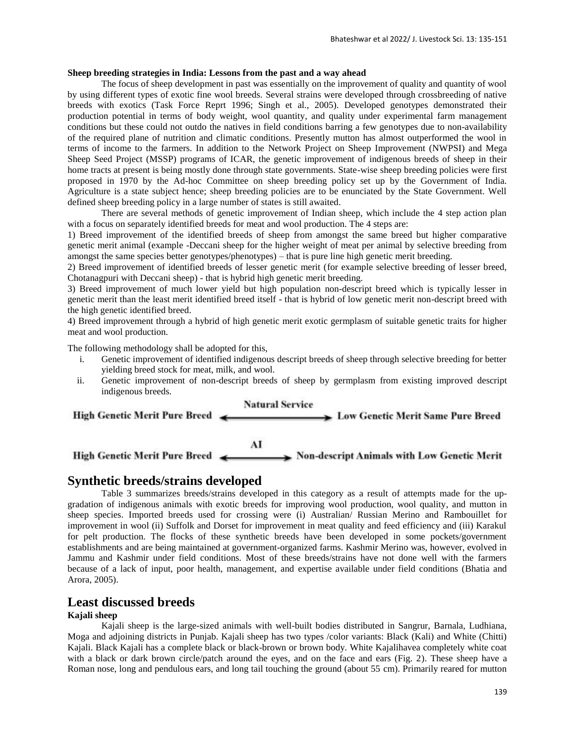### **Sheep breeding strategies in India: Lessons from the past and a way ahead**

The focus of sheep development in past was essentially on the improvement of quality and quantity of wool by using different types of exotic fine wool breeds. Several strains were developed through crossbreeding of native breeds with exotics (Task Force Reprt 1996; Singh et al., 2005). Developed genotypes demonstrated their production potential in terms of body weight, wool quantity, and quality under experimental farm management conditions but these could not outdo the natives in field conditions barring a few genotypes due to non-availability of the required plane of nutrition and climatic conditions. Presently mutton has almost outperformed the wool in terms of income to the farmers. In addition to the Network Project on Sheep Improvement (NWPSI) and Mega Sheep Seed Project (MSSP) programs of ICAR, the genetic improvement of indigenous breeds of sheep in their home tracts at present is being mostly done through state governments. State-wise sheep breeding policies were first proposed in 1970 by the Ad-hoc Committee on sheep breeding policy set up by the Government of India. Agriculture is a state subject hence; sheep breeding policies are to be enunciated by the State Government. Well defined sheep breeding policy in a large number of states is still awaited.

There are several methods of genetic improvement of Indian sheep, which include the 4 step action plan with a focus on separately identified breeds for meat and wool production. The 4 steps are:

1) Breed improvement of the identified breeds of sheep from amongst the same breed but higher comparative genetic merit animal (example -Deccani sheep for the higher weight of meat per animal by selective breeding from amongst the same species better genotypes/phenotypes) – that is pure line high genetic merit breeding.

2) Breed improvement of identified breeds of lesser genetic merit (for example selective breeding of lesser breed, Chotanagpuri with Deccani sheep) - that is hybrid high genetic merit breeding.

3) Breed improvement of much lower yield but high population non-descript breed which is typically lesser in genetic merit than the least merit identified breed itself - that is hybrid of low genetic merit non-descript breed with the high genetic identified breed.

4) Breed improvement through a hybrid of high genetic merit exotic germplasm of suitable genetic traits for higher meat and wool production.

The following methodology shall be adopted for this,

- i. Genetic improvement of identified indigenous descript breeds of sheep through selective breeding for better yielding breed stock for meat, milk, and wool.
- ii. Genetic improvement of non-descript breeds of sheep by germplasm from existing improved descript indigenous breeds.



## **Synthetic breeds/strains developed**

Table 3 summarizes breeds/strains developed in this category as a result of attempts made for the upgradation of indigenous animals with exotic breeds for improving wool production, wool quality, and mutton in sheep species. Imported breeds used for crossing were (i) Australian/ Russian Merino and Rambouillet for improvement in wool (ii) Suffolk and Dorset for improvement in meat quality and feed efficiency and (iii) Karakul for pelt production. The flocks of these synthetic breeds have been developed in some pockets/government establishments and are being maintained at government-organized farms. Kashmir Merino was, however, evolved in Jammu and Kashmir under field conditions. Most of these breeds/strains have not done well with the farmers because of a lack of input, poor health, management, and expertise available under field conditions (Bhatia and Arora, 2005).

# **Least discussed breeds**

### **Kajali sheep**

Kajali sheep is the large-sized animals with well-built bodies distributed in Sangrur, Barnala, Ludhiana, Moga and adjoining districts in Punjab. Kajali sheep has two types /color variants: Black (Kali) and White (Chitti) Kajali. Black Kajali has a complete black or black-brown or brown body. White Kajalihavea completely white coat with a black or dark brown circle/patch around the eyes, and on the face and ears (Fig. 2). These sheep have a Roman nose, long and pendulous ears, and long tail touching the ground (about 55 cm). Primarily reared for mutton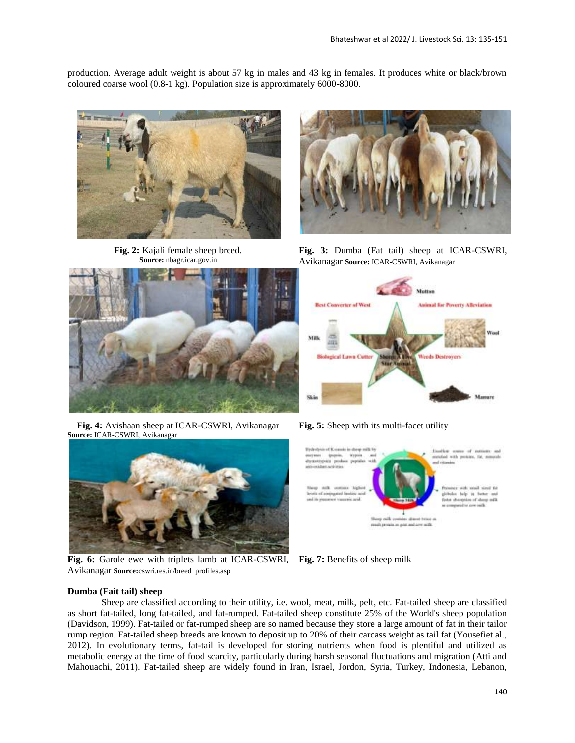production. Average adult weight is about 57 kg in males and 43 kg in females. It produces white or black/brown coloured coarse wool (0.8-1 kg). Population size is approximately 6000-8000.



**Fig. 2:** Kajali female sheep breed. **Source:** nbagr.icar.gov.in



**Fig. 4:** Avishaan sheep at ICAR-CSWRI, Avikanagar **Source:** ICAR-CSWRI, Avikanagar



**Fig. 6:** Garole ewe with triplets lamb at ICAR-CSWRI, Avikanagar **Source:**cswri.res.in/breed\_profiles.asp



**Fig. 3:** Dumba (Fat tail) sheep at ICAR-CSWRI, Avikanagar **Source:** ICAR-CSWRI, Avikanagar



**Fig. 5:** Sheep with its multi-facet utility



**Fig. 7:** Benefits of sheep milk

#### **Dumba (Fait tail) sheep**

Sheep are classified according to their utility, i.e. wool, meat, milk, pelt, etc. Fat-tailed sheep are classified as short fat-tailed, long fat-tailed, and fat-rumped. Fat-tailed sheep constitute 25% of the World's sheep population (Davidson, 1999). Fat-tailed or fat-rumped sheep are so named because they store a large amount of fat in their tailor rump region. Fat-tailed sheep breeds are known to deposit up to 20% of their carcass weight as tail fat (Yousefiet al., 2012). In evolutionary terms, fat-tail is developed for storing nutrients when food is plentiful and utilized as metabolic energy at the time of food scarcity, particularly during harsh seasonal fluctuations and migration (Atti and Mahouachi, 2011). Fat-tailed sheep are widely found in Iran, Israel, Jordon, Syria, Turkey, Indonesia, Lebanon,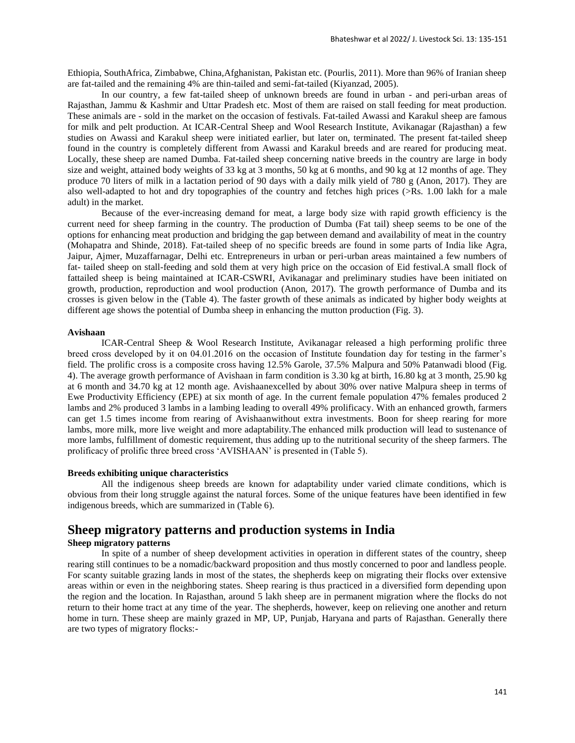Ethiopia, SouthAfrica, Zimbabwe, China,Afghanistan, Pakistan etc. (Pourlis, 2011). More than 96% of Iranian sheep are fat-tailed and the remaining 4% are thin-tailed and semi-fat-tailed (Kiyanzad, 2005).

In our country, a few fat-tailed sheep of unknown breeds are found in urban - and peri-urban areas of Rajasthan, Jammu & Kashmir and Uttar Pradesh etc. Most of them are raised on stall feeding for meat production. These animals are - sold in the market on the occasion of festivals. Fat-tailed Awassi and Karakul sheep are famous for milk and pelt production. At ICAR-Central Sheep and Wool Research Institute, Avikanagar (Rajasthan) a few studies on Awassi and Karakul sheep were initiated earlier, but later on, terminated. The present fat-tailed sheep found in the country is completely different from Awassi and Karakul breeds and are reared for producing meat. Locally, these sheep are named Dumba. Fat-tailed sheep concerning native breeds in the country are large in body size and weight, attained body weights of 33 kg at 3 months, 50 kg at 6 months, and 90 kg at 12 months of age. They produce 70 liters of milk in a lactation period of 90 days with a daily milk yield of 780 g (Anon, 2017). They are also well-adapted to hot and dry topographies of the country and fetches high prices (>Rs. 1.00 lakh for a male adult) in the market.

Because of the ever-increasing demand for meat, a large body size with rapid growth efficiency is the current need for sheep farming in the country. The production of Dumba (Fat tail) sheep seems to be one of the options for enhancing meat production and bridging the gap between demand and availability of meat in the country (Mohapatra and Shinde, 2018). Fat-tailed sheep of no specific breeds are found in some parts of India like Agra, Jaipur, Ajmer, Muzaffarnagar, Delhi etc. Entrepreneurs in urban or peri-urban areas maintained a few numbers of fat- tailed sheep on stall-feeding and sold them at very high price on the occasion of Eid festival.A small flock of fattailed sheep is being maintained at ICAR-CSWRI, Avikanagar and preliminary studies have been initiated on growth, production, reproduction and wool production (Anon, 2017). The growth performance of Dumba and its crosses is given below in the (Table 4). The faster growth of these animals as indicated by higher body weights at different age shows the potential of Dumba sheep in enhancing the mutton production (Fig. 3).

#### **Avishaan**

ICAR-Central Sheep & Wool Research Institute, Avikanagar released a high performing prolific three breed cross developed by it on 04.01.2016 on the occasion of Institute foundation day for testing in the farmer's field. The prolific cross is a composite cross having 12.5% Garole, 37.5% Malpura and 50% Patanwadi blood (Fig. 4). The average growth performance of Avishaan in farm condition is 3.30 kg at birth, 16.80 kg at 3 month, 25.90 kg at 6 month and 34.70 kg at 12 month age. Avishaanexcelled by about 30% over native Malpura sheep in terms of Ewe Productivity Efficiency (EPE) at six month of age. In the current female population 47% females produced 2 lambs and 2% produced 3 lambs in a lambing leading to overall 49% prolificacy. With an enhanced growth, farmers can get 1.5 times income from rearing of Avishaanwithout extra investments. Boon for sheep rearing for more lambs, more milk, more live weight and more adaptability.The enhanced milk production will lead to sustenance of more lambs, fulfillment of domestic requirement, thus adding up to the nutritional security of the sheep farmers. The prolificacy of prolific three breed cross 'AVISHAAN' is presented in (Table 5).

#### **Breeds exhibiting unique characteristics**

All the indigenous sheep breeds are known for adaptability under varied climate conditions, which is obvious from their long struggle against the natural forces. Some of the unique features have been identified in few indigenous breeds, which are summarized in (Table 6).

# **Sheep migratory patterns and production systems in India**

### **Sheep migratory patterns**

In spite of a number of sheep development activities in operation in different states of the country, sheep rearing still continues to be a nomadic/backward proposition and thus mostly concerned to poor and landless people. For scanty suitable grazing lands in most of the states, the shepherds keep on migrating their flocks over extensive areas within or even in the neighboring states. Sheep rearing is thus practiced in a diversified form depending upon the region and the location. In Rajasthan, around 5 lakh sheep are in permanent migration where the flocks do not return to their home tract at any time of the year. The shepherds, however, keep on relieving one another and return home in turn. These sheep are mainly grazed in MP, UP, Punjab, Haryana and parts of Rajasthan. Generally there are two types of migratory flocks:-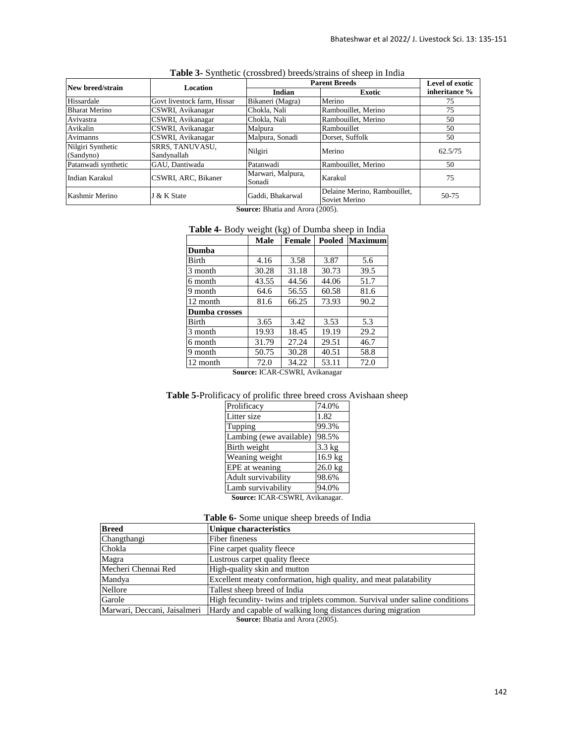| New breed/strain     | <b>Location</b>             | <b>Parent Breeds</b>        |                                               | Level of exotic |
|----------------------|-----------------------------|-----------------------------|-----------------------------------------------|-----------------|
|                      |                             | Indian                      | Exotic                                        | inheritance %   |
| Hissardale           | Govt livestock farm, Hissar | Bikaneri (Magra)            | Merino                                        | 75              |
| <b>Bharat Merino</b> | CSWRI, Avikanagar           | Chokla, Nali                | Rambouillet, Merino                           | 75              |
| Avivastra            | CSWRI, Avikanagar           | Chokla, Nali                | Rambouillet, Merino                           | 50              |
| Avikalin             | CSWRI, Avikanagar           | Malpura                     | Rambouillet                                   | 50              |
| Avimanns             | CSWRI, Avikanagar           | Malpura, Sonadi             | Dorset, Suffolk                               | 50              |
| Nilgiri Synthetic    | <b>SRRS, TANUVASU,</b>      | Nilgiri                     | Merino                                        | 62.5/75         |
| (Sandyno)            | Sandynallah                 |                             |                                               |                 |
| Patanwadi synthetic  | GAU, Dantiwada              | Patanwadi                   | Rambouillet, Merino                           | 50              |
| Indian Karakul       | CSWRI, ARC, Bikaner         | Marwari, Malpura,<br>Sonadi | Karakul                                       | 75              |
| Kashmir Merino       | J & K State                 | Gaddi, Bhakarwal            | Delaine Merino, Rambouillet,<br>Soviet Merino | $50-75$         |

**Table 3-** Synthetic (crossbred) breeds/strains of sheep in India

**Source:** Bhatia and Arora (2005).

# **Table 4-** Body weight (kg) of Dumba sheep in India

|                                 | <b>Male</b> | <b>Female</b> |       | <b>Pooled Maximum</b> |
|---------------------------------|-------------|---------------|-------|-----------------------|
| Dumba                           |             |               |       |                       |
| <b>Birth</b>                    | 4.16        | 3.58          | 3.87  | 5.6                   |
| 3 month                         | 30.28       | 31.18         | 30.73 | 39.5                  |
| 6 month                         | 43.55       | 44.56         | 44.06 | 51.7                  |
| 9 month                         | 64.6        | 56.55         | 60.58 | 81.6                  |
| 12 month                        | 81.6        | 66.25         | 73.93 | 90.2                  |
| <b>Dumba</b> crosses            |             |               |       |                       |
| Birth                           | 3.65        | 3.42          | 3.53  | 5.3                   |
| 3 month                         | 19.93       | 18.45         | 19.19 | 29.2                  |
| 6 month                         | 31.79       | 27.24         | 29.51 | 46.7                  |
| 9 month                         | 50.75       | 30.28         | 40.51 | 58.8                  |
| 12 month                        | 72.0        | 34.22         | 53.11 | 72.0                  |
| Cource ICAD CCWDI<br>Avikanagar |             |               |       |                       |

**Source:** ICAR-CSWRI, Avikanagar

# **Table 5-**Prolificacy of prolific three breed cross Avishaan sheep

| Prolificacy                     | 74.0%     |  |
|---------------------------------|-----------|--|
| Litter size                     | 1.82      |  |
| Tupping                         | 99.3%     |  |
| Lambing (ewe available)         | 98.5%     |  |
| Birth weight                    | $3.3$ kg  |  |
| Weaning weight                  | 16.9 kg   |  |
| EPE at weaning                  | $26.0$ kg |  |
| Adult survivability             | 98.6%     |  |
| Lamb survivability              | 94.0%     |  |
| Source: ICAR-CSWRI, Avikanagar. |           |  |

**Table 6-** Some unique sheep breeds of India

| <b>Breed</b>                 | <b>Unique characteristics</b>                                               |
|------------------------------|-----------------------------------------------------------------------------|
| Changthangi                  | Fiber fineness                                                              |
| Chokla                       | Fine carpet quality fleece                                                  |
| Magra                        | Lustrous carpet quality fleece                                              |
| Mecheri Chennai Red          | High-quality skin and mutton                                                |
| Mandya                       | Excellent meaty conformation, high quality, and meat palatability           |
| Nellore                      | Tallest sheep breed of India                                                |
| Garole                       | High fecundity- twins and triplets common. Survival under saline conditions |
| Marwari, Deccani, Jaisalmeri | Hardy and capable of walking long distances during migration                |

**Source:** Bhatia and Arora (2005).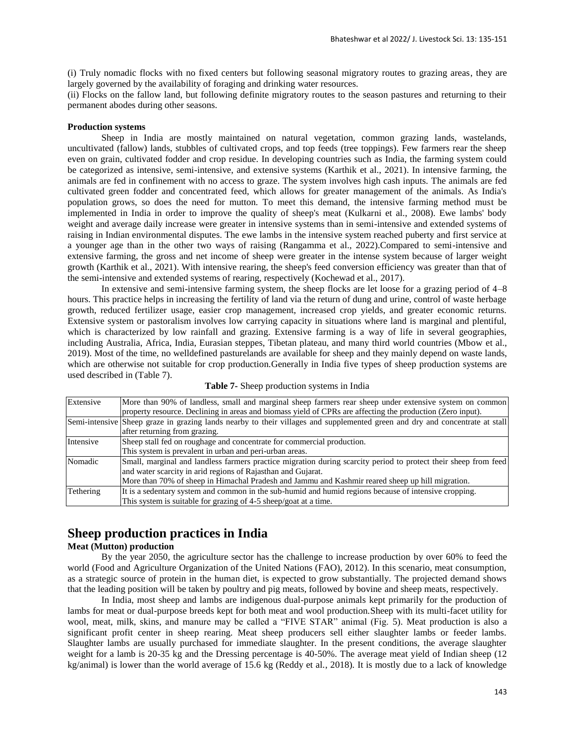(i) Truly nomadic flocks with no fixed centers but following seasonal migratory routes to grazing areas, they are largely governed by the availability of foraging and drinking water resources.

(ii) Flocks on the fallow land, but following definite migratory routes to the season pastures and returning to their permanent abodes during other seasons.

#### **Production systems**

Sheep in India are mostly maintained on natural vegetation, common grazing lands, wastelands, uncultivated (fallow) lands, stubbles of cultivated crops, and top feeds (tree toppings). Few farmers rear the sheep even on grain, cultivated fodder and crop residue. In developing countries such as India, the farming system could be categorized as intensive, semi-intensive, and extensive systems (Karthik et al., 2021). In intensive farming, the animals are fed in confinement with no access to graze. The system involves high cash inputs. The animals are fed cultivated green fodder and concentrated feed, which allows for greater management of the animals. As India's population grows, so does the need for mutton. To meet this demand, the intensive farming method must be implemented in India in order to improve the quality of sheep's meat (Kulkarni et al., 2008). Ewe lambs' body weight and average daily increase were greater in intensive systems than in semi-intensive and extended systems of raising in Indian environmental disputes. The ewe lambs in the intensive system reached puberty and first service at a younger age than in the other two ways of raising (Rangamma et al., 2022).Compared to semi-intensive and extensive farming, the gross and net income of sheep were greater in the intense system because of larger weight growth (Karthik et al., 2021). With intensive rearing, the sheep's feed conversion efficiency was greater than that of the semi-intensive and extended systems of rearing, respectively (Kochewad et al., 2017).

In extensive and semi-intensive farming system, the sheep flocks are let loose for a grazing period of 4–8 hours. This practice helps in increasing the fertility of land via the return of dung and urine, control of waste herbage growth, reduced fertilizer usage, easier crop management, increased crop yields, and greater economic returns. Extensive system or pastoralism involves low carrying capacity in situations where land is marginal and plentiful, which is characterized by low rainfall and grazing. Extensive farming is a way of life in several geographies, including Australia, Africa, India, Eurasian steppes, Tibetan plateau, and many third world countries (Mbow et al., 2019). Most of the time, no welldefined pasturelands are available for sheep and they mainly depend on waste lands, which are otherwise not suitable for crop production.Generally in India five types of sheep production systems are used described in (Table 7).

| Extensive | More than 90% of landless, small and marginal sheep farmers rear sheep under extensive system on common                      |
|-----------|------------------------------------------------------------------------------------------------------------------------------|
|           | property resource. Declining in areas and biomass yield of CPRs are affecting the production (Zero input).                   |
|           | Semi-intensive Sheep graze in grazing lands nearby to their villages and supplemented green and dry and concentrate at stall |
|           | after returning from grazing.                                                                                                |
| Intensive | Sheep stall fed on roughage and concentrate for commercial production.                                                       |
|           | This system is prevalent in urban and peri-urban areas.                                                                      |
| Nomadic   | Small, marginal and landless farmers practice migration during scarcity period to protect their sheep from feed              |
|           | and water scarcity in arid regions of Rajasthan and Gujarat.                                                                 |
|           | More than 70% of sheep in Himachal Pradesh and Jammu and Kashmir reared sheep up hill migration.                             |
| Tethering | It is a sedentary system and common in the sub-humid and humid regions because of intensive cropping.                        |
|           | This system is suitable for grazing of 4-5 sheep/goat at a time.                                                             |

**Table 7-** Sheep production systems in India

# **Sheep production practices in India**

### **Meat (Mutton) production**

By the year 2050, the agriculture sector has the challenge to increase production by over 60% to feed the world (Food and Agriculture Organization of the United Nations (FAO), 2012). In this scenario, meat consumption, as a strategic source of protein in the human diet, is expected to grow substantially. The projected demand shows that the leading position will be taken by poultry and pig meats, followed by bovine and sheep meats, respectively.

In India, most sheep and lambs are indigenous dual-purpose animals kept primarily for the production of lambs for meat or dual-purpose breeds kept for both meat and wool production.Sheep with its multi-facet utility for wool, meat, milk, skins, and manure may be called a "FIVE STAR" animal (Fig. 5). Meat production is also a significant profit center in sheep rearing. Meat sheep producers sell either slaughter lambs or feeder lambs. Slaughter lambs are usually purchased for immediate slaughter. In the present conditions, the average slaughter weight for a lamb is 20-35 kg and the Dressing percentage is 40-50%. The average meat yield of Indian sheep (12 kg/animal) is lower than the world average of 15.6 kg (Reddy et al., 2018). It is mostly due to a lack of knowledge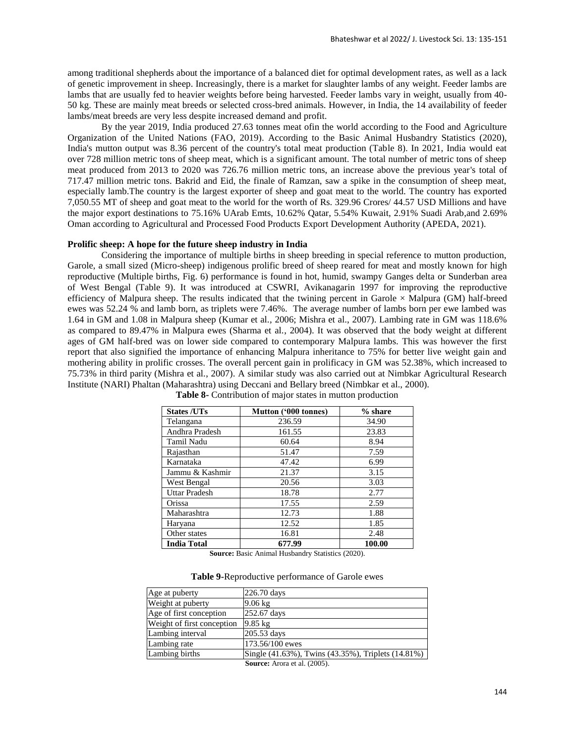among traditional shepherds about the importance of a balanced diet for optimal development rates, as well as a lack of genetic improvement in sheep. Increasingly, there is a market for slaughter lambs of any weight. Feeder lambs are lambs that are usually fed to heavier weights before being harvested. Feeder lambs vary in weight, usually from 40- 50 kg. These are mainly meat breeds or selected cross-bred animals. However, in India, the 14 availability of feeder lambs/meat breeds are very less despite increased demand and profit.

By the year 2019, India produced 27.63 tonnes meat ofin the world according to the Food and Agriculture Organization of the United Nations (FAO, 2019). According to the Basic Animal Husbandry Statistics (2020), India's mutton output was 8.36 percent of the country's total meat production (Table 8). In 2021, India would eat over 728 million metric tons of sheep meat, which is a significant amount. The total number of metric tons of sheep meat produced from 2013 to 2020 was 726.76 million metric tons, an increase above the previous year's total of 717.47 million metric tons. Bakrid and Eid, the finale of Ramzan, saw a spike in the consumption of sheep meat, especially lamb.The country is the largest exporter of sheep and goat meat to the world. The country has exported 7,050.55 MT of sheep and goat meat to the world for the worth of Rs. 329.96 Crores/ 44.57 USD Millions and have the major export destinations to 75.16% UArab Emts, 10.62% Qatar, 5.54% Kuwait, 2.91% Suadi Arab,and 2.69% Oman according to Agricultural and Processed Food Products Export Development Authority (APEDA, 2021).

#### **Prolific sheep: A hope for the future sheep industry in India**

Considering the importance of multiple births in sheep breeding in special reference to mutton production, Garole, a small sized (Micro-sheep) indigenous prolific breed of sheep reared for meat and mostly known for high reproductive (Multiple births, Fig. 6) performance is found in hot, humid, swampy Ganges delta or Sunderban area of West Bengal (Table 9). It was introduced at CSWRI, Avikanagarin 1997 for improving the reproductive efficiency of Malpura sheep. The results indicated that the twining percent in Garole  $\times$  Malpura (GM) half-breed ewes was 52.24 % and lamb born, as triplets were 7.46%. The average number of lambs born per ewe lambed was 1.64 in GM and 1.08 in Malpura sheep (Kumar et al., 2006; Mishra et al., 2007). Lambing rate in GM was 118.6% as compared to 89.47% in Malpura ewes (Sharma et al., 2004). It was observed that the body weight at different ages of GM half-bred was on lower side compared to contemporary Malpura lambs. This was however the first report that also signified the importance of enhancing Malpura inheritance to 75% for better live weight gain and mothering ability in prolific crosses. The overall percent gain in prolificacy in GM was 52.38%, which increased to 75.73% in third parity (Mishra et al., 2007). A similar study was also carried out at Nimbkar Agricultural Research Institute (NARI) Phaltan (Maharashtra) using Deccani and Bellary breed (Nimbkar et al., 2000).

| <b>States /UTs</b>   | Mutton ('000 tonnes) | % share |
|----------------------|----------------------|---------|
| Telangana            | 236.59               | 34.90   |
| Andhra Pradesh       | 161.55               | 23.83   |
| Tamil Nadu           | 60.64                | 8.94    |
| Rajasthan            | 51.47                | 7.59    |
| Karnataka            | 47.42                | 6.99    |
| Jammu & Kashmir      | 21.37                | 3.15    |
| West Bengal          | 20.56                | 3.03    |
| <b>Uttar Pradesh</b> | 18.78                | 2.77    |
| Orissa               | 17.55                | 2.59    |
| Maharashtra          | 12.73                | 1.88    |
| Haryana              | 12.52                | 1.85    |
| Other states         | 16.81                | 2.48    |
| <b>India Total</b>   | 677.99               | 100.00  |

**Table 8-** Contribution of major states in mutton production

**Source:** Basic Animal Husbandry Statistics (2020).

**Table 9-**Reproductive performance of Garole ewes

| Age at puberty             | 226.70 days                                        |
|----------------------------|----------------------------------------------------|
| Weight at puberty          | $9.06 \text{ kg}$                                  |
| Age of first conception    | 252.67 days                                        |
| Weight of first conception | $9.85 \text{ kg}$                                  |
| Lambing interval           | 205.53 days                                        |
| Lambing rate               | 173.56/100 ewes                                    |
| Lambing births             | Single (41.63%), Twins (43.35%), Triplets (14.81%) |
|                            | $\mathbf{C}_{\mathbf{OUMOO}}$ Arong of al $(2005)$ |

**Source:** Arora et al. (2005).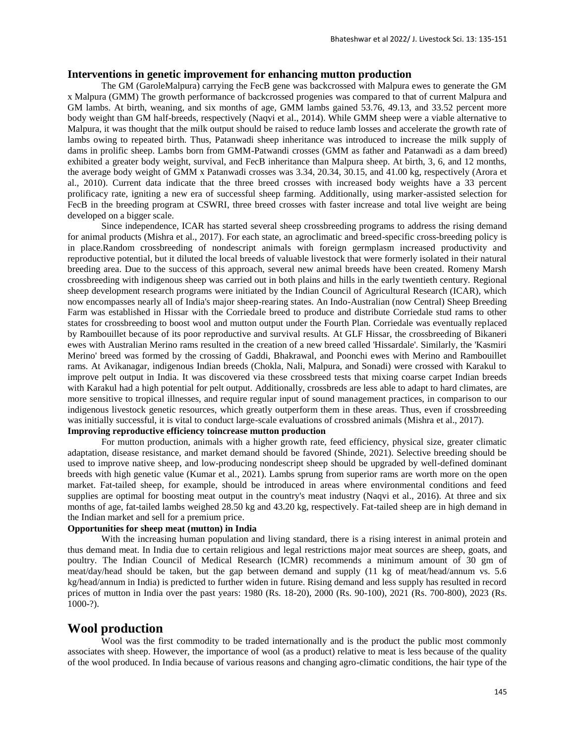### **Interventions in genetic improvement for enhancing mutton production**

The GM (GaroleMalpura) carrying the FecB gene was backcrossed with Malpura ewes to generate the GM x Malpura (GMM) The growth performance of backcrossed progenies was compared to that of current Malpura and GM lambs. At birth, weaning, and six months of age, GMM lambs gained 53.76, 49.13, and 33.52 percent more body weight than GM half-breeds, respectively (Naqvi et al., 2014). While GMM sheep were a viable alternative to Malpura, it was thought that the milk output should be raised to reduce lamb losses and accelerate the growth rate of lambs owing to repeated birth. Thus, Patanwadi sheep inheritance was introduced to increase the milk supply of dams in prolific sheep. Lambs born from GMM-Patwandi crosses (GMM as father and Patanwadi as a dam breed) exhibited a greater body weight, survival, and FecB inheritance than Malpura sheep. At birth, 3, 6, and 12 months, the average body weight of GMM x Patanwadi crosses was 3.34, 20.34, 30.15, and 41.00 kg, respectively (Arora et al., 2010). Current data indicate that the three breed crosses with increased body weights have a 33 percent prolificacy rate, igniting a new era of successful sheep farming. Additionally, using marker-assisted selection for FecB in the breeding program at CSWRI, three breed crosses with faster increase and total live weight are being developed on a bigger scale.

Since independence, ICAR has started several sheep crossbreeding programs to address the rising demand for animal products (Mishra et al., 2017). For each state, an agroclimatic and breed-specific cross-breeding policy is in place.Random crossbreeding of nondescript animals with foreign germplasm increased productivity and reproductive potential, but it diluted the local breeds of valuable livestock that were formerly isolated in their natural breeding area. Due to the success of this approach, several new animal breeds have been created. Romeny Marsh crossbreeding with indigenous sheep was carried out in both plains and hills in the early twentieth century. Regional sheep development research programs were initiated by the Indian Council of Agricultural Research (ICAR), which now encompasses nearly all of India's major sheep-rearing states. An Indo-Australian (now Central) Sheep Breeding Farm was established in Hissar with the Corriedale breed to produce and distribute Corriedale stud rams to other states for crossbreeding to boost wool and mutton output under the Fourth Plan. Corriedale was eventually replaced by Rambouillet because of its poor reproductive and survival results. At GLF Hissar, the crossbreeding of Bikaneri ewes with Australian Merino rams resulted in the creation of a new breed called 'Hissardale'. Similarly, the 'Kasmiri Merino' breed was formed by the crossing of Gaddi, Bhakrawal, and Poonchi ewes with Merino and Rambouillet rams. At Avikanagar, indigenous Indian breeds (Chokla, Nali, Malpura, and Sonadi) were crossed with Karakul to improve pelt output in India. It was discovered via these crossbreed tests that mixing coarse carpet Indian breeds with Karakul had a high potential for pelt output. Additionally, crossbreds are less able to adapt to hard climates, are more sensitive to tropical illnesses, and require regular input of sound management practices, in comparison to our indigenous livestock genetic resources, which greatly outperform them in these areas. Thus, even if crossbreeding was initially successful, it is vital to conduct large-scale evaluations of crossbred animals (Mishra et al., 2017). **Improving reproductive efficiency toincrease mutton production**

For mutton production, animals with a higher growth rate, feed efficiency, physical size, greater climatic adaptation, disease resistance, and market demand should be favored (Shinde, 2021). Selective breeding should be used to improve native sheep, and low-producing nondescript sheep should be upgraded by well-defined dominant breeds with high genetic value (Kumar et al., 2021). Lambs sprung from superior rams are worth more on the open market. Fat-tailed sheep, for example, should be introduced in areas where environmental conditions and feed supplies are optimal for boosting meat output in the country's meat industry (Naqvi et al., 2016). At three and six months of age, fat-tailed lambs weighed 28.50 kg and 43.20 kg, respectively. Fat-tailed sheep are in high demand in the Indian market and sell for a premium price.

## **Opportunities for sheep meat (mutton) in India**

With the increasing human population and living standard, there is a rising interest in animal protein and thus demand meat. In India due to certain religious and legal restrictions major meat sources are sheep, goats, and poultry. The Indian Council of Medical Research (ICMR) recommends a minimum amount of 30 gm of meat/day/head should be taken, but the gap between demand and supply (11 kg of meat/head/annum vs. 5.6 kg/head/annum in India) is predicted to further widen in future. Rising demand and less supply has resulted in record prices of mutton in India over the past years: 1980 (Rs. 18-20), 2000 (Rs. 90-100), 2021 (Rs. 700-800), 2023 (Rs. 1000-?).

# **Wool production**

Wool was the first commodity to be traded internationally and is the product the public most commonly associates with sheep. However, the importance of wool (as a product) relative to meat is less because of the quality of the wool produced. In India because of various reasons and changing agro-climatic conditions, the hair type of the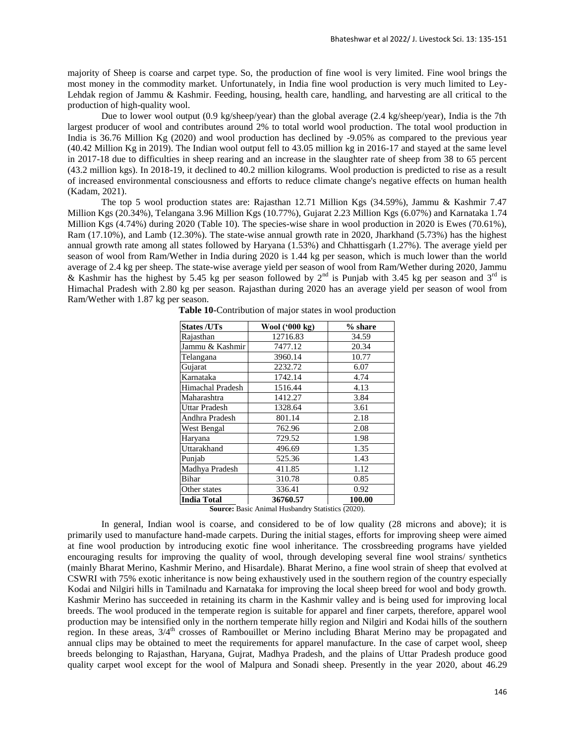majority of Sheep is coarse and carpet type. So, the production of fine wool is very limited. Fine wool brings the most money in the commodity market. Unfortunately, in India fine wool production is very much limited to Ley-Lehdak region of Jammu & Kashmir. Feeding, housing, health care, handling, and harvesting are all critical to the production of high-quality wool.

Due to lower wool output (0.9 kg/sheep/year) than the global average (2.4 kg/sheep/year), India is the 7th largest producer of wool and contributes around 2% to total world wool production. The total wool production in India is 36.76 Million Kg (2020) and wool production has declined by -9.05% as compared to the previous year (40.42 Million Kg in 2019). The Indian wool output fell to 43.05 million kg in 2016-17 and stayed at the same level in 2017-18 due to difficulties in sheep rearing and an increase in the slaughter rate of sheep from 38 to 65 percent (43.2 million kgs). In 2018-19, it declined to 40.2 million kilograms. Wool production is predicted to rise as a result of increased environmental consciousness and efforts to reduce climate change's negative effects on human health (Kadam, 2021).

The top 5 wool production states are: Rajasthan 12.71 Million Kgs (34.59%), Jammu & Kashmir 7.47 Million Kgs (20.34%), Telangana 3.96 Million Kgs (10.77%), Gujarat 2.23 Million Kgs (6.07%) and Karnataka 1.74 Million Kgs (4.74%) during 2020 (Table 10). The species-wise share in wool production in 2020 is Ewes (70.61%), Ram (17.10%), and Lamb (12.30%). The state-wise annual growth rate in 2020, Jharkhand (5.73%) has the highest annual growth rate among all states followed by Haryana (1.53%) and Chhattisgarh (1.27%). The average yield per season of wool from Ram/Wether in India during 2020 is 1.44 kg per season, which is much lower than the world average of 2.4 kg per sheep. The state-wise average yield per season of wool from Ram/Wether during 2020, Jammu & Kashmir has the highest by 5.45 kg per season followed by  $2<sup>nd</sup>$  is Punjab with 3.45 kg per season and  $3<sup>rd</sup>$  is Himachal Pradesh with 2.80 kg per season. Rajasthan during 2020 has an average yield per season of wool from Ram/Wether with 1.87 kg per season.

| Wool ('000 kg) | % share         |
|----------------|-----------------|
| 12716.83       | 34.59           |
| 7477.12        | 20.34           |
| 3960.14        | 10.77           |
| 2232.72        | 6.07            |
| 1742.14        | 4.74            |
| 1516.44        | 4.13            |
| 1412.27        | 3.84            |
| 1328.64        | 3.61            |
| 801.14         | 2.18            |
| 762.96         | 2.08            |
| 729.52         | 1.98            |
| 496.69         | 1.35            |
| 525.36         | 1.43            |
| 411.85         | 1.12            |
| 310.78         | 0.85            |
| 336.41         | 0.92            |
| 36760.57       | 100.00          |
|                | 1.77.1.1.01.1.1 |

**Table 10-**Contribution of major states in wool production

**Source:** Basic Animal Husbandry Statistics (2020).

In general, Indian wool is coarse, and considered to be of low quality (28 microns and above); it is primarily used to manufacture hand-made carpets. During the initial stages, efforts for improving sheep were aimed at fine wool production by introducing exotic fine wool inheritance. The crossbreeding programs have yielded encouraging results for improving the quality of wool, through developing several fine wool strains/ synthetics (mainly Bharat Merino, Kashmir Merino, and Hisardale). Bharat Merino, a fine wool strain of sheep that evolved at CSWRI with 75% exotic inheritance is now being exhaustively used in the southern region of the country especially Kodai and Nilgiri hills in Tamilnadu and Karnataka for improving the local sheep breed for wool and body growth. Kashmir Merino has succeeded in retaining its charm in the Kashmir valley and is being used for improving local breeds. The wool produced in the temperate region is suitable for apparel and finer carpets, therefore, apparel wool production may be intensified only in the northern temperate hilly region and Nilgiri and Kodai hills of the southern region. In these areas,  $3/4<sup>th</sup>$  crosses of Rambouillet or Merino including Bharat Merino may be propagated and annual clips may be obtained to meet the requirements for apparel manufacture. In the case of carpet wool, sheep breeds belonging to Rajasthan, Haryana, Gujrat, Madhya Pradesh, and the plains of Uttar Pradesh produce good quality carpet wool except for the wool of Malpura and Sonadi sheep. Presently in the year 2020, about 46.29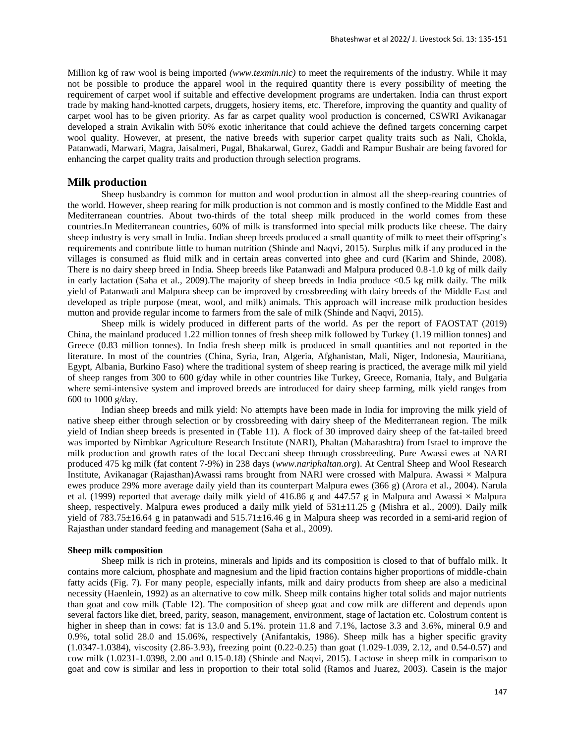Million kg of raw wool is being imported *(www.texmin.nic)* to meet the requirements of the industry. While it may not be possible to produce the apparel wool in the required quantity there is every possibility of meeting the requirement of carpet wool if suitable and effective development programs are undertaken. India can thrust export trade by making hand-knotted carpets, druggets, hosiery items, etc. Therefore, improving the quantity and quality of carpet wool has to be given priority. As far as carpet quality wool production is concerned, CSWRI Avikanagar developed a strain Avikalin with 50% exotic inheritance that could achieve the defined targets concerning carpet wool quality. However, at present, the native breeds with superior carpet quality traits such as Nali, Chokla, Patanwadi, Marwari, Magra, Jaisalmeri, Pugal, Bhakarwal, Gurez, Gaddi and Rampur Bushair are being favored for enhancing the carpet quality traits and production through selection programs.

### **Milk production**

Sheep husbandry is common for mutton and wool production in almost all the sheep-rearing countries of the world. However, sheep rearing for milk production is not common and is mostly confined to the Middle East and Mediterranean countries. About two-thirds of the total sheep milk produced in the world comes from these countries.In Mediterranean countries, 60% of milk is transformed into special milk products like cheese. The dairy sheep industry is very small in India. Indian sheep breeds produced a small quantity of milk to meet their offspring's requirements and contribute little to human nutrition (Shinde and Naqvi, 2015). Surplus milk if any produced in the villages is consumed as fluid milk and in certain areas converted into ghee and curd (Karim and Shinde, 2008). There is no dairy sheep breed in India. Sheep breeds like Patanwadi and Malpura produced 0.8-1.0 kg of milk daily in early lactation (Saha et al., 2009).The majority of sheep breeds in India produce <0.5 kg milk daily. The milk yield of Patanwadi and Malpura sheep can be improved by crossbreeding with dairy breeds of the Middle East and developed as triple purpose (meat, wool, and milk) animals. This approach will increase milk production besides mutton and provide regular income to farmers from the sale of milk (Shinde and Naqvi, 2015).

Sheep milk is widely produced in different parts of the world. As per the report of FAOSTAT (2019) China, the mainland produced 1.22 million tonnes of fresh sheep milk followed by Turkey (1.19 million tonnes) and Greece (0.83 million tonnes). In India fresh sheep milk is produced in small quantities and not reported in the literature. In most of the countries (China, Syria, Iran, Algeria, Afghanistan, Mali, Niger, Indonesia, Mauritiana, Egypt, Albania, Burkino Faso) where the traditional system of sheep rearing is practiced, the average milk mil yield of sheep ranges from 300 to 600 g/day while in other countries like Turkey, Greece, Romania, Italy, and Bulgaria where semi-intensive system and improved breeds are introduced for dairy sheep farming, milk yield ranges from 600 to 1000 g/day.

Indian sheep breeds and milk yield: No attempts have been made in India for improving the milk yield of native sheep either through selection or by crossbreeding with dairy sheep of the Mediterranean region. The milk yield of Indian sheep breeds is presented in (Table 11). A flock of 30 improved dairy sheep of the fat-tailed breed was imported by Nimbkar Agriculture Research Institute (NARI), Phaltan (Maharashtra) from Israel to improve the milk production and growth rates of the local Deccani sheep through crossbreeding. Pure Awassi ewes at NARI produced 475 kg milk (fat content 7-9%) in 238 days (*www.nariphaltan.org*). At Central Sheep and Wool Research Institute, Avikanagar (Rajasthan)Awassi rams brought from NARI were crossed with Malpura. Awassi × Malpura ewes produce 29% more average daily yield than its counterpart Malpura ewes (366 g) (Arora et al., 2004). Narula et al. (1999) reported that average daily milk yield of 416.86 g and 447.57 g in Malpura and Awassi  $\times$  Malpura sheep, respectively. Malpura ewes produced a daily milk yield of  $531\pm11.25$  g (Mishra et al., 2009). Daily milk yield of 783.75±16.64 g in patanwadi and 515.71±16.46 g in Malpura sheep was recorded in a semi-arid region of Rajasthan under standard feeding and management (Saha et al., 2009).

#### **Sheep milk composition**

Sheep milk is rich in proteins, minerals and lipids and its composition is closed to that of buffalo milk. It contains more calcium, phosphate and magnesium and the lipid fraction contains higher proportions of middle-chain fatty acids (Fig. 7). For many people, especially infants, milk and dairy products from sheep are also a medicinal necessity (Haenlein, 1992) as an alternative to cow milk. Sheep milk contains higher total solids and major nutrients than goat and cow milk (Table 12). The composition of sheep goat and cow milk are different and depends upon several factors like diet, breed, parity, season, management, environment, stage of lactation etc. Colostrum content is higher in sheep than in cows: fat is 13.0 and 5.1%. protein 11.8 and 7.1%, lactose 3.3 and 3.6%, mineral 0.9 and 0.9%, total solid 28.0 and 15.06%, respectively (Anifantakis, 1986). Sheep milk has a higher specific gravity (1.0347-1.0384), viscosity (2.86-3.93), freezing point (0.22-0.25) than goat (1.029-1.039, 2.12, and 0.54-0.57) and cow milk (1.0231-1.0398, 2.00 and 0.15-0.18) (Shinde and Naqvi, 2015). Lactose in sheep milk in comparison to goat and cow is similar and less in proportion to their total solid (Ramos and Juarez, 2003). Casein is the major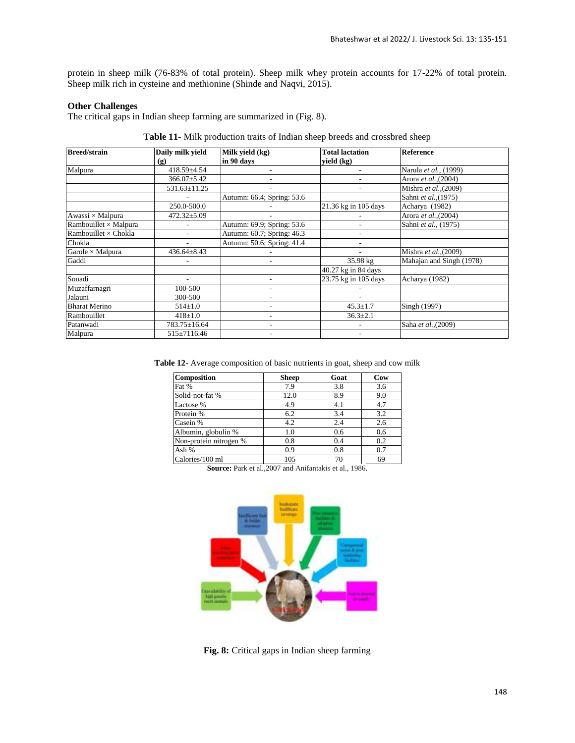protein in sheep milk (76-83% of total protein). Sheep milk whey protein accounts for 17-22% of total protein. Sheep milk rich in cysteine and methionine (Shinde and Naqvi, 2015).

### **Other Challenges**

The critical gaps in Indian sheep farming are summarized in (Fig. 8).

| <b>Breed/strain</b>          | Daily milk yield  | Milk yield (kg)            | <b>Total lactation</b> | Reference                |
|------------------------------|-------------------|----------------------------|------------------------|--------------------------|
|                              | (g)               | in 90 days                 | yield (kg)             |                          |
| Malpura                      | 418.59±4.54       |                            |                        | Narula et al., (1999)    |
|                              | $366.07 \pm 5.42$ |                            |                        | Arora et al., (2004)     |
|                              | 531.63±11.25      |                            |                        | Mishra et al., (2009)    |
|                              |                   | Autumn: 66.4; Spring: 53.6 |                        | Sahni et al., (1975)     |
|                              | 250.0-500.0       |                            | 21.36 kg in 105 days   | Acharya (1982)           |
| Awassi × Malpura             | $472.32 \pm 5.09$ |                            |                        | Arora et al., (2004)     |
| Rambouillet $\times$ Malpura |                   | Autumn: 69.9; Spring: 53.6 |                        | Sahni et al., (1975)     |
| Rambouillet $\times$ Chokla  | ٠                 | Autumn: 60.7; Spring: 46.3 |                        |                          |
| Chokla                       |                   | Autumn: 50.6; Spring: 41.4 |                        |                          |
| Garole $\times$ Malpura      | $436.64 \pm 8.43$ |                            |                        | Mishra et al., (2009)    |
| Gaddi                        |                   |                            | 35.98 kg               | Mahajan and Singh (1978) |
|                              |                   |                            | 40.27 kg in 84 days    |                          |
| Sonadi                       |                   | ٠                          | 23.75 kg in 105 days   | Acharya (1982)           |
| Muzaffarnagri                | 100-500           |                            |                        |                          |
| Jalauni                      | 300-500           |                            |                        |                          |
| <b>Bharat Merino</b>         | $514 \pm 1.0$     |                            | $45.3 \pm 1.7$         | Singh (1997)             |
| Rambouillet                  | $418 + 1.0$       | ۰                          | $36.3 \pm 2.1$         |                          |
| Patanwadi                    | 783.75±16.64      |                            |                        | Saha et al., (2009)      |
| Malpura                      | 515±7116.46       |                            |                        |                          |

**Table 11-** Milk production traits of Indian sheep breeds and crossbred sheep

**Table 12-** Average composition of basic nutrients in goat, sheep and cow milk

| <b>Composition</b>     | <b>Sheep</b> | Goat | Cow |
|------------------------|--------------|------|-----|
| Fat %                  | 7.9          | 3.8  | 3.6 |
| Solid-not-fat %        | 12.0         | 8.9  | 9.0 |
| Lactose %              | 4.9          | 4.1  | 4.7 |
| Protein %              | 6.2          | 3.4  | 3.2 |
| Casein %               | 4.2          | 2.4  | 2.6 |
| Albumin, globulin %    | 1.0          | 0.6  | 0.6 |
| Non-protein nitrogen % | 0.8          | 0.4  | 0.2 |
| Ash %                  | 0.9          | 0.8  | 0.7 |
| Calories/100 ml        | 105          | 70   | 69  |

**Source:** Park et al.,2007 and Anifantakis et al., 1986.



**Fig. 8:** Critical gaps in Indian sheep farming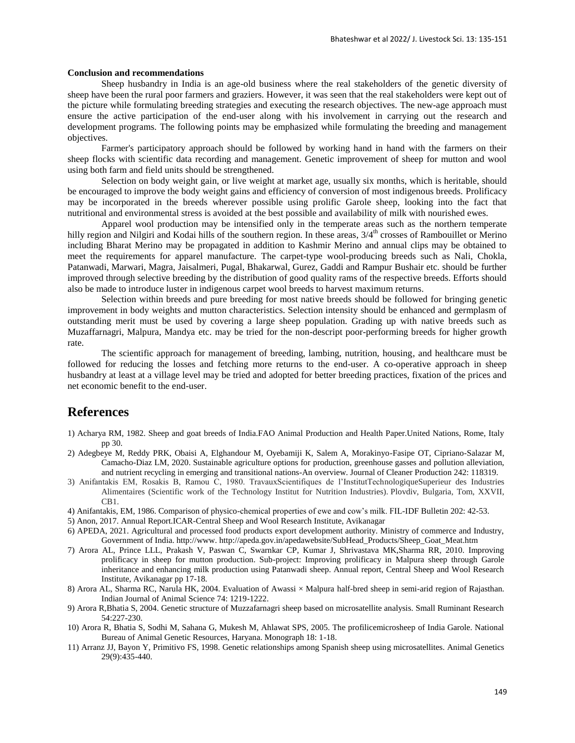### **Conclusion and recommendations**

Sheep husbandry in India is an age-old business where the real stakeholders of the genetic diversity of sheep have been the rural poor farmers and graziers. However, it was seen that the real stakeholders were kept out of the picture while formulating breeding strategies and executing the research objectives. The new-age approach must ensure the active participation of the end-user along with his involvement in carrying out the research and development programs. The following points may be emphasized while formulating the breeding and management objectives.

Farmer's participatory approach should be followed by working hand in hand with the farmers on their sheep flocks with scientific data recording and management. Genetic improvement of sheep for mutton and wool using both farm and field units should be strengthened.

Selection on body weight gain, or live weight at market age, usually six months, which is heritable, should be encouraged to improve the body weight gains and efficiency of conversion of most indigenous breeds. Prolificacy may be incorporated in the breeds wherever possible using prolific Garole sheep, looking into the fact that nutritional and environmental stress is avoided at the best possible and availability of milk with nourished ewes.

Apparel wool production may be intensified only in the temperate areas such as the northern temperate hilly region and Nilgiri and Kodai hills of the southern region. In these areas,  $3/4<sup>th</sup>$  crosses of Rambouillet or Merino including Bharat Merino may be propagated in addition to Kashmir Merino and annual clips may be obtained to meet the requirements for apparel manufacture. The carpet-type wool-producing breeds such as Nali, Chokla, Patanwadi, Marwari, Magra, Jaisalmeri, Pugal, Bhakarwal, Gurez, Gaddi and Rampur Bushair etc. should be further improved through selective breeding by the distribution of good quality rams of the respective breeds. Efforts should also be made to introduce luster in indigenous carpet wool breeds to harvest maximum returns.

Selection within breeds and pure breeding for most native breeds should be followed for bringing genetic improvement in body weights and mutton characteristics. Selection intensity should be enhanced and germplasm of outstanding merit must be used by covering a large sheep population. Grading up with native breeds such as Muzaffarnagri, Malpura, Mandya etc. may be tried for the non-descript poor-performing breeds for higher growth rate.

The scientific approach for management of breeding, lambing, nutrition, housing, and healthcare must be followed for reducing the losses and fetching more returns to the end-user. A co-operative approach in sheep husbandry at least at a village level may be tried and adopted for better breeding practices, fixation of the prices and net economic benefit to the end-user.

# **References**

- 1) Acharya RM, 1982. Sheep and goat breeds of India.FAO Animal Production and Health Paper.United Nations, Rome, Italy pp 30.
- 2) Adegbeye M, Reddy PRK, Obaisi A, Elghandour M, Oyebamiji K, Salem A, Morakinyo-Fasipe OT, Cipriano-Salazar M, Camacho-Diaz LM, 2020. Sustainable agriculture options for production, greenhouse gasses and pollution alleviation, and nutrient recycling in emerging and transitional nations-An overview. Journal of Cleaner Production 242: 118319.
- 3) Anifantakis EM, Rosakis B, Ramou C, 1980. TravauxScientifiques de l'InstitutTechnologiqueSuperieur des Industries Alimentaires (Scientific work of the Technology Institut for Nutrition Industries). Plovdiv, Bulgaria, Tom, XXVII, CB1.
- 4) Anifantakis, EM, 1986. Comparison of physico-chemical properties of ewe and cow's milk. FIL-IDF Bulletin 202: 42-53.
- 5) Anon, 2017. Annual Report.ICAR-Central Sheep and Wool Research Institute, Avikanagar
- 6) APEDA, 2021. Agricultural and processed food products export development authority. Ministry of commerce and Industry, Government of India. http://www. http://apeda.gov.in/apedawebsite/SubHead\_Products/Sheep\_Goat\_Meat.htm
- 7) Arora AL, Prince LLL, Prakash V, Paswan C, Swarnkar CP, Kumar J, Shrivastava MK,Sharma RR, 2010. Improving prolificacy in sheep for mutton production. Sub-project: Improving prolificacy in Malpura sheep through Garole inheritance and enhancing milk production using Patanwadi sheep. Annual report, Central Sheep and Wool Research Institute, Avikanagar pp 17-18.
- 8) Arora AL, Sharma RC, Narula HK, 2004. Evaluation of Awassi × Malpura half-bred sheep in semi-arid region of Rajasthan. Indian Journal of Animal Science 74: 1219-1222.
- 9) Arora R,Bhatia S, 2004. Genetic structure of Muzzafarnagri sheep based on microsatellite analysis. Small Ruminant Research 54:227-230.
- 10) Arora R, Bhatia S, Sodhi M, Sahana G, Mukesh M, Ahlawat SPS, 2005. The profilicemicrosheep of India Garole. National Bureau of Animal Genetic Resources, Haryana. Monograph 18: 1-18.
- 11) Arranz JJ, Bayon Y, Primitivo FS, 1998. Genetic relationships among Spanish sheep using microsatellites. Animal Genetics 29(9):435-440.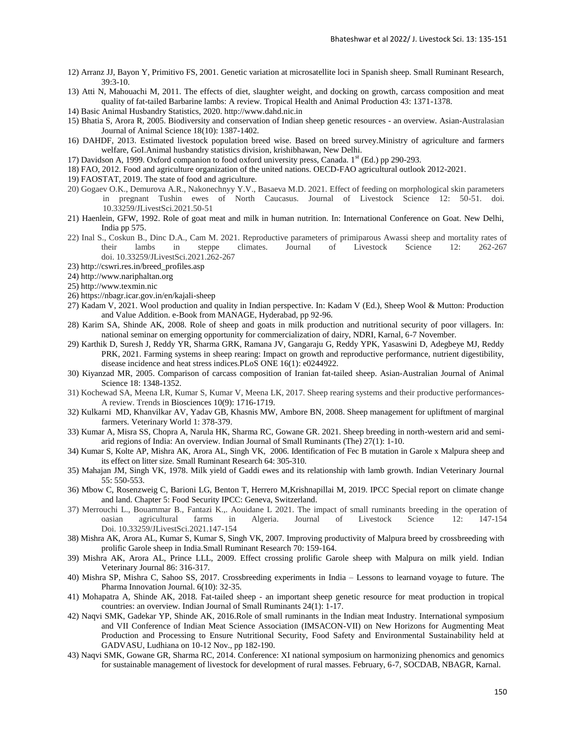- 12) Arranz JJ, Bayon Y, Primitivo FS, 2001. Genetic variation at microsatellite loci in Spanish sheep. Small Ruminant Research, 39:3-10.
- 13) Atti N, Mahouachi M, 2011. The effects of diet, slaughter weight, and docking on growth, carcass composition and meat quality of fat-tailed Barbarine lambs: A review. Tropical Health and Animal Production 43: 1371-1378.
- 14) Basic Animal Husbandry Statistics, 2020. http://www.dahd.nic.in
- 15) Bhatia S, Arora R, 2005. Biodiversity and conservation of Indian sheep genetic resources an overview. Asian-Australasian Journal of Animal Science 18(10): 1387-1402.
- 16) DAHDF, 2013. Estimated livestock population breed wise. Based on breed survey.Ministry of agriculture and farmers welfare, GoI.Animal husbandry statistics division, krishibhawan, New Delhi.
- 17) Davidson A, 1999. Oxford companion to food oxford university press, Canada. 1st (Ed.) pp 290-293.
- 18) FAO, 2012. Food and agriculture organization of the united nations. OECD-FAO agricultural outlook 2012-2021.
- 19) FAOSTAT, 2019. The state of food and agriculture.
- 20) Gogaev O.K., Demurova A.R., Nakonechnyy Y.V., Basaeva M.D. 2021. Effect of feeding on morphological skin parameters in pregnant Tushin ewes of North Caucasus. Journal of Livestock Science 12: 50-51. doi. 10.33259/JLivestSci.2021.50-51
- 21) Haenlein, GFW, 1992. Role of goat meat and milk in human nutrition. In: International Conference on Goat. New Delhi, India pp 575.
- 22) Inal S., Coskun B., Dinc D.A., Cam M. 2021. Reproductive parameters of primiparous Awassi sheep and mortality rates of their lambs in steppe climates. Journal of Livestock Science 12: 262-267 doi. 10.33259/JLivestSci.2021.262-267
- 23) http://cswri.res.in/breed\_profiles.asp
- 24) http://www.nariphaltan.org
- 25) http://www.texmin.nic
- 26) https://nbagr.icar.gov.in/en/kajali-sheep
- 27) Kadam V, 2021. Wool production and quality in Indian perspective. In: Kadam V (Ed.), Sheep Wool & Mutton: Production and Value Addition. e-Book from MANAGE, Hyderabad, pp 92-96.
- 28) Karim SA, Shinde AK, 2008. Role of sheep and goats in milk production and nutritional security of poor villagers. In: national seminar on emerging opportunity for commercialization of dairy, NDRI, Karnal, 6-7 November.
- 29) Karthik D, Suresh J, Reddy YR, Sharma GRK, Ramana JV, Gangaraju G, Reddy YPK, Yasaswini D, Adegbeye MJ, Reddy PRK, 2021. Farming systems in sheep rearing: Impact on growth and reproductive performance, nutrient digestibility, disease incidence and heat stress indices.PLoS ONE 16(1): e0244922.
- 30) Kiyanzad MR, 2005. Comparison of carcass composition of Iranian fat-tailed sheep. Asian-Australian Journal of Animal Science 18: 1348-1352.
- 31) Kochewad SA, Meena LR, Kumar S, Kumar V, Meena LK, 2017. Sheep rearing systems and their productive performances-A review. Trends in Biosciences 10(9): 1716-1719.
- 32) Kulkarni MD, Khanvilkar AV, Yadav GB, Khasnis MW, Ambore BN, 2008. Sheep management for upliftment of marginal farmers. Veterinary World 1: 378-379.
- 33) Kumar A, Misra SS, Chopra A, Narula HK, Sharma RC, Gowane GR. 2021. Sheep breeding in north-western arid and semiarid regions of India: An overview. Indian Journal of Small Ruminants (The) 27(1): 1-10.
- 34) Kumar S, Kolte AP, Mishra AK, Arora AL, Singh VK, 2006. Identification of Fec B mutation in Garole x Malpura sheep and its effect on litter size. Small Ruminant Research 64: 305-310.
- 35) Mahajan JM, Singh VK, 1978. Milk yield of Gaddi ewes and its relationship with lamb growth. Indian Veterinary Journal 55: 550-553.
- 36) Mbow C, Rosenzweig C, Barioni LG, Benton T, Herrero M,Krishnapillai M, 2019. IPCC Special report on climate change and land. Chapter 5: Food Security IPCC: Geneva, Switzerland.
- 37) Merrouchi L., Bouammar B., Fantazi K.,. Aouidane L 2021. The impact of small ruminants breeding in the operation of oasian agricultural farms in Algeria. Journal of Livestock Science 12: 147-154 Doi. 10.33259/JLivestSci.2021.147-154
- 38) Mishra AK, Arora AL, Kumar S, Kumar S, Singh VK, 2007. Improving productivity of Malpura breed by crossbreeding with prolific Garole sheep in India.Small Ruminant Research 70: 159-164.
- 39) Mishra AK, Arora AL, Prince LLL, 2009. Effect crossing prolific Garole sheep with Malpura on milk yield. Indian Veterinary Journal 86: 316-317.
- 40) Mishra SP, Mishra C, Sahoo SS, 2017. Crossbreeding experiments in India Lessons to learnand voyage to future. The Pharma Innovation Journal. 6(10): 32-35.
- 41) Mohapatra A, Shinde AK, 2018. Fat-tailed sheep an important sheep genetic resource for meat production in tropical countries: an overview. Indian Journal of Small Ruminants 24(1): 1-17.
- 42) Naqvi SMK, Gadekar YP, Shinde AK, 2016.Role of small ruminants in the Indian meat Industry. International symposium and VII Conference of Indian Meat Science Association (IMSACON-VII) on New Horizons for Augmenting Meat Production and Processing to Ensure Nutritional Security, Food Safety and Environmental Sustainability held at GADVASU, Ludhiana on 10-12 Nov., pp 182-190.
- 43) Naqvi SMK, Gowane GR, Sharma RC, 2014. Conference: XI national symposium on harmonizing phenomics and genomics for sustainable management of livestock for development of rural masses. February, 6-7, SOCDAB, NBAGR, Karnal.